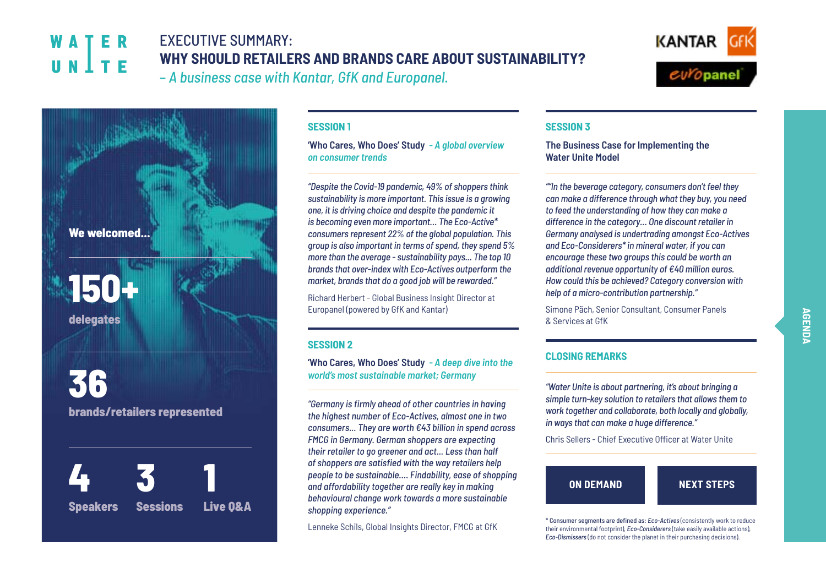# **WATFR** UNITE

# EXECUTIVE SUMMARY: **WHY SHOULD RETAILERS AND BRANDS CARE ABOUT SUSTAINABILITY?** – *A business case with Kantar, GfK and Europanel.*





#### **SESSION 1**

**'Who Cares, Who Does' Study** *- A global overview on consumer trends*

*"Despite the Covid-19 pandemic, 49% of shoppers think sustainability is more important. This issue is a growing one, it is driving choice and despite the pandemic it is becoming even more important… The Eco-Active\* consumers represent 22% of the global population. This group is also important in terms of spend, they spend 5% more than the average - sustainability pays... The top 10 brands that over-index with Eco-Actives outperform the market, brands that do a good job will be rewarded."*

Richard Herbert - Global Business Insight Director at Europanel (powered by GfK and Kantar)

#### **SESSION 2**

**'Who Cares, Who Does' Study** *- A deep dive into the world's most sustainable market; Germany*

*"Germany is firmly ahead of other countries in having the highest number of Eco-Actives, almost one in two consumers... They are worth €43 billion in spend across FMCG in Germany. German shoppers are expecting their retailer to go greener and act... Less than half of shoppers are satisfied with the way retailers help people to be sustainable…. Findability, ease of shopping and affordability together are really key in making behavioural change work towards a more sustainable shopping experience."*

Lenneke Schils, Global Insights Director, FMCG at GfK

### **SESSION 3**

**The Business Case for Implementing the Water Unite Model**

*""In the beverage category, consumers don't feel they can make a difference through what they buy, you need to feed the understanding of how they can make a difference in the category… One discount retailer in Germany analysed is undertrading amongst Eco-Actives and Eco-Considerers\* in mineral water, if you can encourage these two groups this could be worth an additional revenue opportunity of €40 million euros. How could this be achieved? Category conversion with help of a micro-contribution partnership."*

Simone Päch, Senior Consultant, Consumer Panels & Services at GfK

## **CLOSING REMARKS**

*"Water Unite is about partnering, it's about bringing a simple turn-key solution to retailers that allows them to work together and collaborate, both locally and globally, in ways that can make a huge difference."*

Chris Sellers - Chief Executive Officer at Water Unite



\* Consumer segments are defined as: *Eco-Actives* (consistently work to reduce their environmental footprint), *Eco-Considerers* (take easily available actions), *Eco-Dismissers* (do not consider the planet in their purchasing decisions).